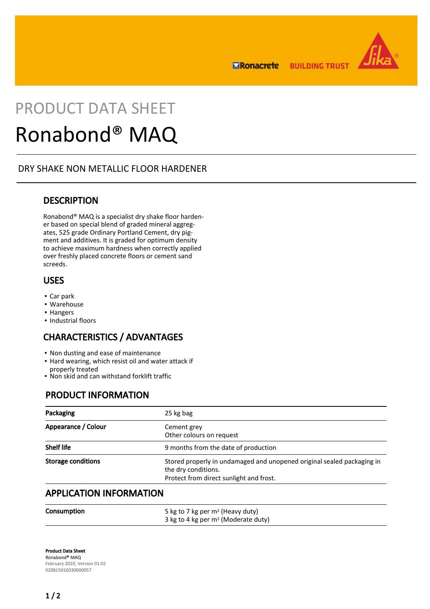**BUILDING TRUST ERonacrete** 



# PRODUCT DATA SHEET

## Ronabond® MAQ

## DRY SHAKE NON METALLIC FLOOR HARDENER

## **DESCRIPTION**

Ronabond® MAQ is a specialist dry shake floor hardener based on special blend of graded mineral aggregates, 525 grade Ordinary Portland Cement, dry pigment and additives. It is graded for optimum density to achieve maximum hardness when correctly applied over freshly placed concrete floors or cement sand screeds.

## USES

- Car park
- Warehouse
- Hangers
- Industrial floors

## CHARACTERISTICS / ADVANTAGES

- Non dusting and ease of maintenance
- **Hard wearing, which resist oil and water attack if** properly treated
- Non skid and can withstand forklift traffic

## PRODUCT INFORMATION

| Packaging                      | 25 kg bag                                                                                                                                |
|--------------------------------|------------------------------------------------------------------------------------------------------------------------------------------|
| Appearance / Colour            | Cement grey<br>Other colours on request                                                                                                  |
| Shelf life                     | 9 months from the date of production                                                                                                     |
| <b>Storage conditions</b>      | Stored properly in undamaged and unopened original sealed packaging in<br>the dry conditions.<br>Protect from direct sunlight and frost. |
| <b>APPLICATION INFORMATION</b> |                                                                                                                                          |

### **Consumption** 5 kg to 7 kg per m<sup>2</sup> (Heavy duty) 3 kg to 4 kg per m2 (Moderate duty)

Product Data Sheet Ronabond® MAQ February 2020, Version 01.02 020815010030000057